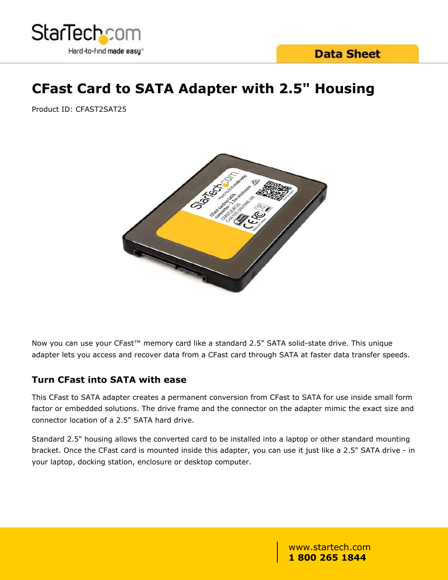

## **CFast Card to SATA Adapter with 2.5" Housing**

Product ID: CFAST2SAT25



Now you can use your CFast™ memory card like a standard 2.5" SATA solid-state drive. This unique adapter lets you access and recover data from a CFast card through SATA at faster data transfer speeds.

#### **Turn CFast into SATA with ease**

This CFast to SATA adapter creates a permanent conversion from CFast to SATA for use inside small form factor or embedded solutions. The drive frame and the connector on the adapter mimic the exact size and connector location of a 2.5" SATA hard drive.

Standard 2.5" housing allows the converted card to be installed into a laptop or other standard mounting bracket. Once the CFast card is mounted inside this adapter, you can use it just like a 2.5" SATA drive - in your laptop, docking station, enclosure or desktop computer.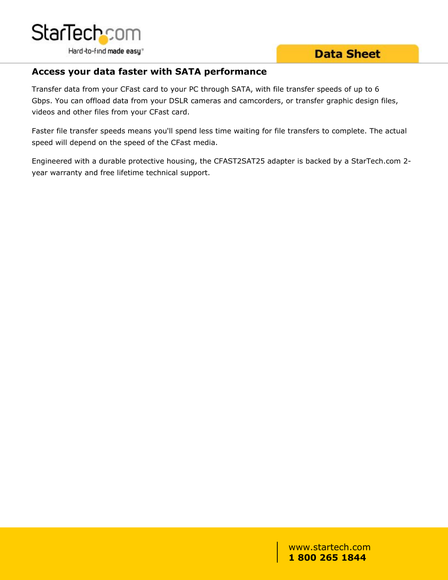

**Data Sheet** 

#### **Access your data faster with SATA performance**

Transfer data from your CFast card to your PC through SATA, with file transfer speeds of up to 6 Gbps. You can offload data from your DSLR cameras and camcorders, or transfer graphic design files, videos and other files from your CFast card.

Faster file transfer speeds means you'll spend less time waiting for file transfers to complete. The actual speed will depend on the speed of the CFast media.

Engineered with a durable protective housing, the CFAST2SAT25 adapter is backed by a StarTech.com 2 year warranty and free lifetime technical support.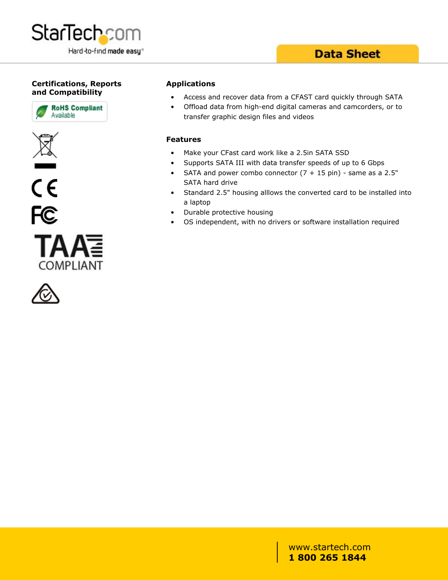

### **Data Sheet**

#### **Certifications, Reports and Compatibility**











#### **Applications**

- Access and recover data from a CFAST card quickly through SATA
- Offload data from high-end digital cameras and camcorders, or to transfer graphic design files and videos

#### **Features**

- Make your CFast card work like a 2.5in SATA SSD
- Supports SATA III with data transfer speeds of up to 6 Gbps
- SATA and power combo connector  $(7 + 15 \text{ pin})$  same as a 2.5" SATA hard drive
- Standard 2.5" housing alllows the converted card to be installed into a laptop
- Durable protective housing
- OS independent, with no drivers or software installation required